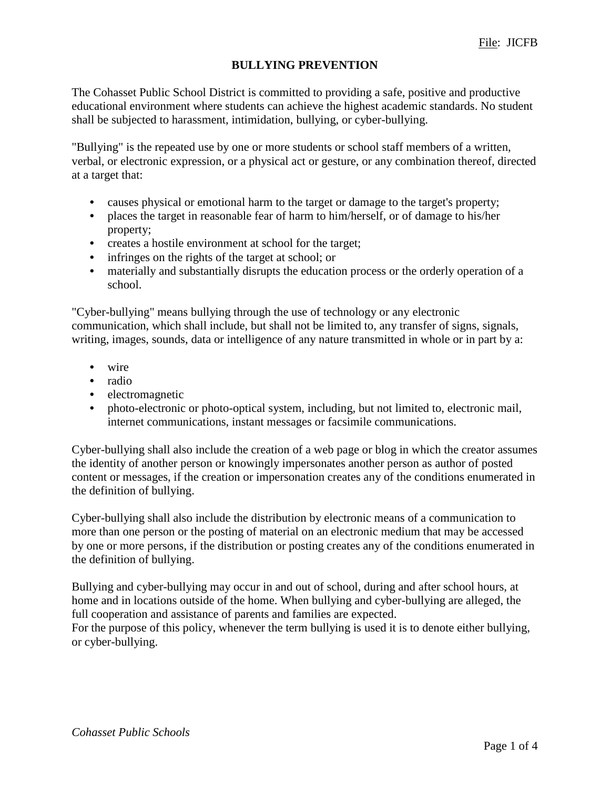# **BULLYING PREVENTION**

The Cohasset Public School District is committed to providing a safe, positive and productive educational environment where students can achieve the highest academic standards. No student shall be subjected to harassment, intimidation, bullying, or cyber-bullying.

"Bullying" is the repeated use by one or more students or school staff members of a written, verbal, or electronic expression, or a physical act or gesture, or any combination thereof, directed at a target that:

- causes physical or emotional harm to the target or damage to the target's property;
- *•* places the target in reasonable fear of harm to him/herself, or of damage to his/her property;
- *•* creates a hostile environment at school for the target;
- infringes on the rights of the target at school; or
- *•* materially and substantially disrupts the education process or the orderly operation of a school.

"Cyber-bullying" means bullying through the use of technology or any electronic communication, which shall include, but shall not be limited to, any transfer of signs, signals, writing, images, sounds, data or intelligence of any nature transmitted in whole or in part by a:

- *•* wire
- *•* radio
- *•* electromagnetic
- photo-electronic or photo-optical system, including, but not limited to, electronic mail, internet communications, instant messages or facsimile communications.

Cyber-bullying shall also include the creation of a web page or blog in which the creator assumes the identity of another person or knowingly impersonates another person as author of posted content or messages, if the creation or impersonation creates any of the conditions enumerated in the definition of bullying.

Cyber-bullying shall also include the distribution by electronic means of a communication to more than one person or the posting of material on an electronic medium that may be accessed by one or more persons, if the distribution or posting creates any of the conditions enumerated in the definition of bullying.

Bullying and cyber-bullying may occur in and out of school, during and after school hours, at home and in locations outside of the home. When bullying and cyber-bullying are alleged, the full cooperation and assistance of parents and families are expected.

For the purpose of this policy, whenever the term bullying is used it is to denote either bullying, or cyber-bullying.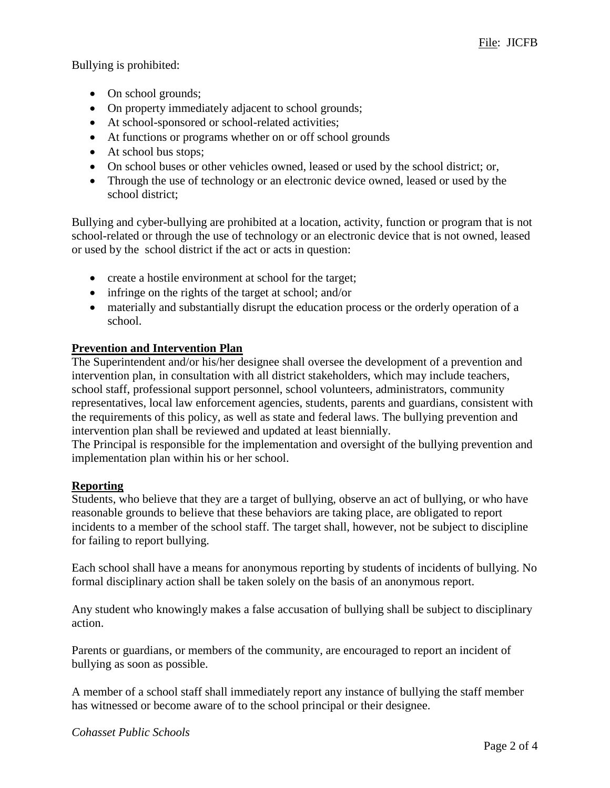Bullying is prohibited:

- On school grounds;
- On property immediately adjacent to school grounds;
- At school-sponsored or school-related activities;
- At functions or programs whether on or off school grounds
- At school bus stops;
- On school buses or other vehicles owned, leased or used by the school district; or,
- Through the use of technology or an electronic device owned, leased or used by the school district;

Bullying and cyber-bullying are prohibited at a location, activity, function or program that is not school-related or through the use of technology or an electronic device that is not owned, leased or used by the school district if the act or acts in question:

- create a hostile environment at school for the target;
- infringe on the rights of the target at school; and/or
- materially and substantially disrupt the education process or the orderly operation of a school.

# **Prevention and Intervention Plan**

The Superintendent and/or his/her designee shall oversee the development of a prevention and intervention plan, in consultation with all district stakeholders, which may include teachers, school staff, professional support personnel, school volunteers, administrators, community representatives, local law enforcement agencies, students, parents and guardians, consistent with the requirements of this policy, as well as state and federal laws. The bullying prevention and intervention plan shall be reviewed and updated at least biennially.

The Principal is responsible for the implementation and oversight of the bullying prevention and implementation plan within his or her school.

# **Reporting**

Students, who believe that they are a target of bullying, observe an act of bullying, or who have reasonable grounds to believe that these behaviors are taking place, are obligated to report incidents to a member of the school staff. The target shall, however, not be subject to discipline for failing to report bullying.

Each school shall have a means for anonymous reporting by students of incidents of bullying. No formal disciplinary action shall be taken solely on the basis of an anonymous report.

Any student who knowingly makes a false accusation of bullying shall be subject to disciplinary action.

Parents or guardians, or members of the community, are encouraged to report an incident of bullying as soon as possible.

A member of a school staff shall immediately report any instance of bullying the staff member has witnessed or become aware of to the school principal or their designee.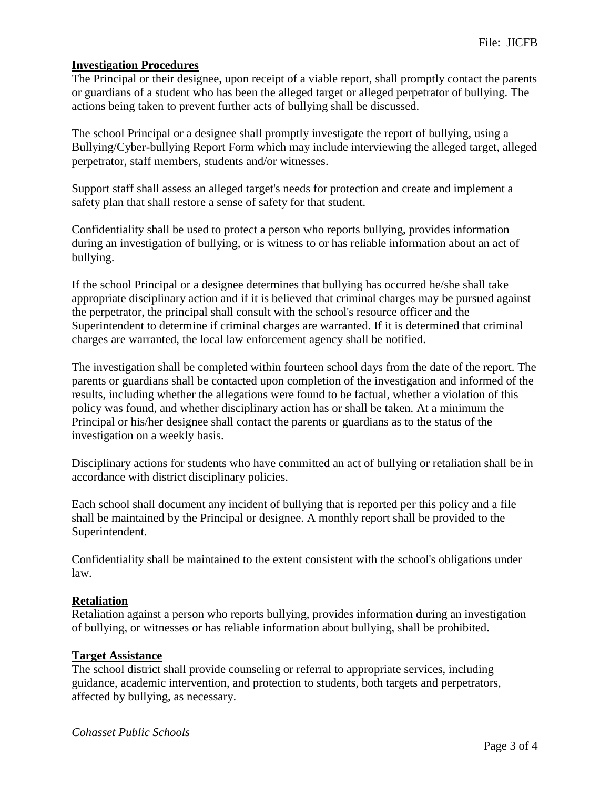### **Investigation Procedures**

The Principal or their designee, upon receipt of a viable report, shall promptly contact the parents or guardians of a student who has been the alleged target or alleged perpetrator of bullying. The actions being taken to prevent further acts of bullying shall be discussed.

The school Principal or a designee shall promptly investigate the report of bullying, using a Bullying/Cyber-bullying Report Form which may include interviewing the alleged target, alleged perpetrator, staff members, students and/or witnesses.

Support staff shall assess an alleged target's needs for protection and create and implement a safety plan that shall restore a sense of safety for that student.

Confidentiality shall be used to protect a person who reports bullying, provides information during an investigation of bullying, or is witness to or has reliable information about an act of bullying.

If the school Principal or a designee determines that bullying has occurred he/she shall take appropriate disciplinary action and if it is believed that criminal charges may be pursued against the perpetrator, the principal shall consult with the school's resource officer and the Superintendent to determine if criminal charges are warranted. If it is determined that criminal charges are warranted, the local law enforcement agency shall be notified.

The investigation shall be completed within fourteen school days from the date of the report. The parents or guardians shall be contacted upon completion of the investigation and informed of the results, including whether the allegations were found to be factual, whether a violation of this policy was found, and whether disciplinary action has or shall be taken. At a minimum the Principal or his/her designee shall contact the parents or guardians as to the status of the investigation on a weekly basis.

Disciplinary actions for students who have committed an act of bullying or retaliation shall be in accordance with district disciplinary policies.

Each school shall document any incident of bullying that is reported per this policy and a file shall be maintained by the Principal or designee. A monthly report shall be provided to the Superintendent.

Confidentiality shall be maintained to the extent consistent with the school's obligations under law.

#### **Retaliation**

Retaliation against a person who reports bullying, provides information during an investigation of bullying, or witnesses or has reliable information about bullying, shall be prohibited.

#### **Target Assistance**

The school district shall provide counseling or referral to appropriate services, including guidance, academic intervention, and protection to students, both targets and perpetrators, affected by bullying, as necessary.